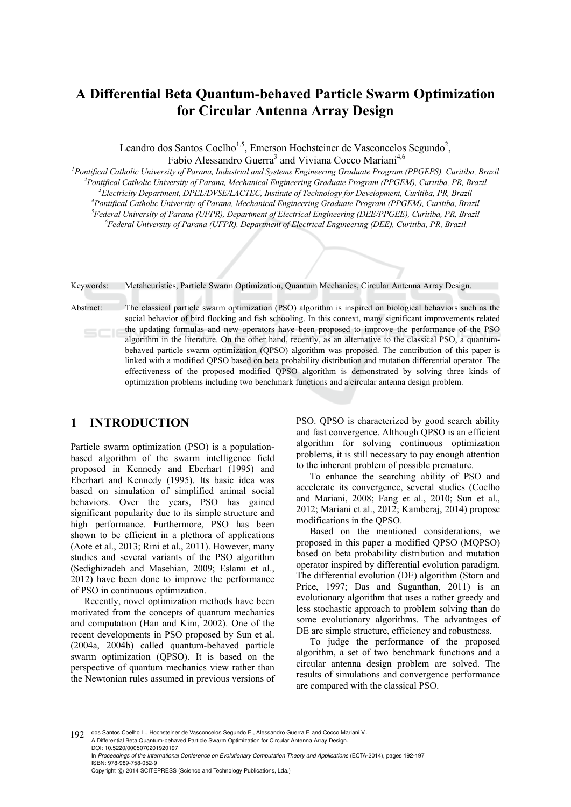# **A Differential Beta Quantum-behaved Particle Swarm Optimization for Circular Antenna Array Design**

Leandro dos Santos Coelho<sup>1,5</sup>, Emerson Hochsteiner de Vasconcelos Segundo<sup>2</sup>, Fabio Alessandro Guerra<sup>3</sup> and Viviana Cocco Mariani<sup>4,6</sup>

*1 Pontifical Catholic University of Parana, Industrial and Systems Engineering Graduate Program (PPGEPS), Curitiba, Brazil 2 Pontifical Catholic University of Parana, Mechanical Engineering Graduate Program (PPGEM), Curitiba, PR, Brazil 3 Electricity Department, DPEL/DVSE/LACTEC, Institute of Technology for Development, Curitiba, PR, Brazil 4* <sup>4</sup> Pontifical Catholic University of Parana, Mechanical Engineering Graduate Program (PPGEM), Curitiba, Brazil *Federal University of Parana (UFPR), Department of Electrical Engineering (DEE/PPGEE), Curitiba, PR, Brazil 6 Federal University of Parana (UFPR), Department of Electrical Engineering (DEE), Curitiba, PR, Brazil* 

Keywords: Metaheuristics, Particle Swarm Optimization, Quantum Mechanics, Circular Antenna Array Design.

Abstract: The classical particle swarm optimization (PSO) algorithm is inspired on biological behaviors such as the social behavior of bird flocking and fish schooling. In this context, many significant improvements related the updating formulas and new operators have been proposed to improve the performance of the PSO algorithm in the literature. On the other hand, recently, as an alternative to the classical PSO, a quantumbehaved particle swarm optimization (QPSO) algorithm was proposed. The contribution of this paper is linked with a modified QPSO based on beta probability distribution and mutation differential operator. The effectiveness of the proposed modified QPSO algorithm is demonstrated by solving three kinds of optimization problems including two benchmark functions and a circular antenna design problem.

## **1 INTRODUCTION**

Particle swarm optimization (PSO) is a populationbased algorithm of the swarm intelligence field proposed in Kennedy and Eberhart (1995) and Eberhart and Kennedy (1995). Its basic idea was based on simulation of simplified animal social behaviors. Over the years, PSO has gained significant popularity due to its simple structure and high performance. Furthermore, PSO has been shown to be efficient in a plethora of applications (Aote et al., 2013; Rini et al., 2011). However, many studies and several variants of the PSO algorithm (Sedighizadeh and Masehian, 2009; Eslami et al., 2012) have been done to improve the performance of PSO in continuous optimization.

Recently, novel optimization methods have been motivated from the concepts of quantum mechanics and computation (Han and Kim, 2002). One of the recent developments in PSO proposed by Sun et al. (2004a, 2004b) called quantum-behaved particle swarm optimization (QPSO). It is based on the perspective of quantum mechanics view rather than the Newtonian rules assumed in previous versions of PSO. QPSO is characterized by good search ability and fast convergence. Although QPSO is an efficient algorithm for solving continuous optimization problems, it is still necessary to pay enough attention to the inherent problem of possible premature.

To enhance the searching ability of PSO and accelerate its convergence, several studies (Coelho and Mariani, 2008; Fang et al., 2010; Sun et al., 2012; Mariani et al., 2012; Kamberaj, 2014) propose modifications in the QPSO.

Based on the mentioned considerations, we proposed in this paper a modified QPSO (MQPSO) based on beta probability distribution and mutation operator inspired by differential evolution paradigm. The differential evolution (DE) algorithm (Storn and Price, 1997; Das and Suganthan, 2011) is an evolutionary algorithm that uses a rather greedy and less stochastic approach to problem solving than do some evolutionary algorithms. The advantages of DE are simple structure, efficiency and robustness.

To judge the performance of the proposed algorithm, a set of two benchmark functions and a circular antenna design problem are solved. The results of simulations and convergence performance are compared with the classical PSO.

192 dos Santos Coelho L., Hochsteiner de Vasconcelos Segundo E., Alessandro Guerra F. and Cocco Mariani V. A Differential Beta Quantum-behaved Particle Swarm Optimization for Circular Antenna Array Design. DOI: 10.5220/0005070201920197 In *Proceedings of the International Conference on Evolutionary Computation Theory and Applications* (ECTA-2014), pages 192-197 ISBN: 978-989-758-052-9 Copyright © 2014 SCITEPRESS (Science and Technology Publications, Lda.)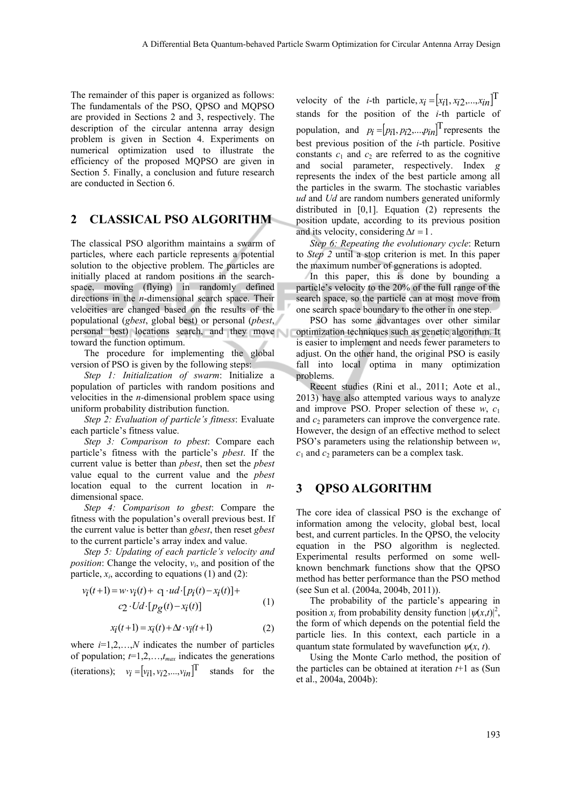The remainder of this paper is organized as follows: The fundamentals of the PSO, QPSO and MQPSO are provided in Sections 2 and 3, respectively. The description of the circular antenna array design problem is given in Section 4. Experiments on numerical optimization used to illustrate the efficiency of the proposed MQPSO are given in Section 5. Finally, a conclusion and future research are conducted in Section 6.

## **2 CLASSICAL PSO ALGORITHM**

The classical PSO algorithm maintains a swarm of particles, where each particle represents a potential solution to the objective problem. The particles are initially placed at random positions in the searchspace, moving (flying) in randomly defined directions in the *n*-dimensional search space. Their velocities are changed based on the results of the populational (*gbest*, global best) or personal (*pbest*, personal best) locations search, and they move toward the function optimum.

The procedure for implementing the global version of PSO is given by the following steps:

*Step 1: Initialization of swarm*: Initialize a population of particles with random positions and velocities in the *n-*dimensional problem space using uniform probability distribution function.

*Step 2: Evaluation of particle's fitness*: Evaluate each particle's fitness value.

*Step 3: Comparison to pbest*: Compare each particle's fitness with the particle's *pbest*. If the current value is better than *pbest*, then set the *pbest* value equal to the current value and the *pbest* location equal to the current location in *n*dimensional space.

*Step 4: Comparison to gbest*: Compare the fitness with the population's overall previous best. If the current value is better than *gbest*, then reset *gbest* to the current particle's array index and value.

*Step 5: Updating of each particle's velocity and position*: Change the velocity,  $v_i$ , and position of the particle,  $x_i$ , according to equations (1) and (2):

$$
v_i(t+1) = w \cdot v_i(t) + c_1 \cdot ud \cdot [p_i(t) - x_i(t)] +
$$
  

$$
c_2 \cdot Ud \cdot [p_g(t) - x_i(t)] \tag{1}
$$

$$
x_i(t+1) = x_i(t) + \Delta t \cdot v_i(t+1)
$$
 (2)

where  $i=1,2,...,N$  indicates the number of particles of population;  $t=1,2,...,t_{max}$  indicates the generations (iterations);  $v_i = [v_{i1}, v_{i2},..., v_{in}]^\text{T}$  stands for the velocity of the *i*-th particle,  $x_i = [x_{i1}, x_{i2},...,x_{in}]^T$ stands for the position of the *i*-th particle of population, and  $p_i = [p_{i1}, p_{i2}, \dots, p_{in}]$ <sup>T</sup> represents the best previous position of the *i*-th particle. Positive constants  $c_1$  and  $c_2$  are referred to as the cognitive and social parameter, respectively. Index *g* represents the index of the best particle among all the particles in the swarm. The stochastic variables *ud* and *Ud* are random numbers generated uniformly distributed in [0,1]. Equation (2) represents the position update, according to its previous position and its velocity, considering  $\Delta t = 1$ .

*Step 6: Repeating the evolutionary cycle*: Return to *Step 2* until a stop criterion is met. In this paper the maximum number of generations is adopted.

In this paper, this is done by bounding a particle's velocity to the 20% of the full range of the search space, so the particle can at most move from one search space boundary to the other in one step.

PSO has some advantages over other similar optimization techniques such as genetic algorithm. It is easier to implement and needs fewer parameters to adjust. On the other hand, the original PSO is easily fall into local optima in many optimization problems.

Recent studies (Rini et al., 2011; Aote et al., 2013) have also attempted various ways to analyze and improve PSO. Proper selection of these  $w$ ,  $c_1$ and  $c_2$  parameters can improve the convergence rate. However, the design of an effective method to select PSO's parameters using the relationship between *w*,  $c_1$  and  $c_2$  parameters can be a complex task.

## **3 QPSO ALGORITHM**

The core idea of classical PSO is the exchange of information among the velocity, global best, local best, and current particles. In the QPSO, the velocity equation in the PSO algorithm is neglected. Experimental results performed on some wellknown benchmark functions show that the QPSO method has better performance than the PSO method (see Sun et al. (2004a, 2004b, 2011)).

The probability of the particle's appearing in position  $x_i$  from probability density function  $|\psi(x,t)|^2$ , the form of which depends on the potential field the particle lies. In this context, each particle in a quantum state formulated by wavefunction  $\psi(x, t)$ .

Using the Monte Carlo method, the position of the particles can be obtained at iteration *t*+1 as (Sun et al., 2004a, 2004b):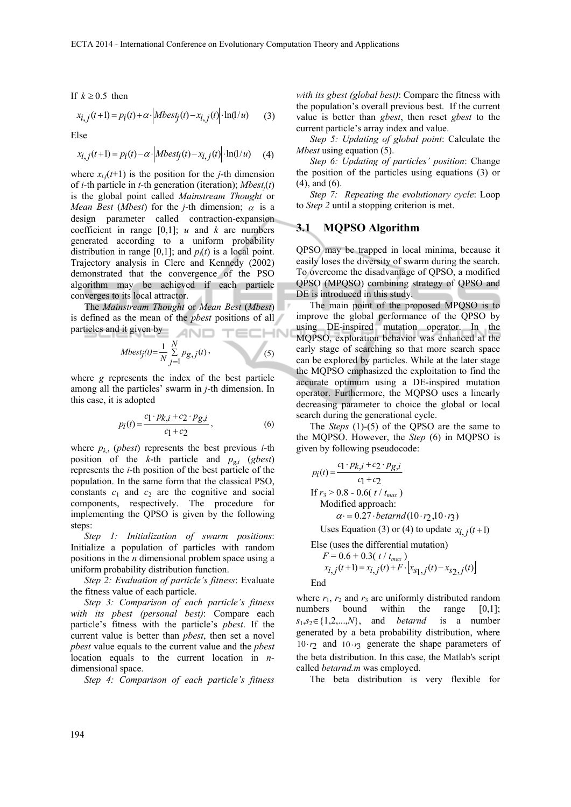If  $k \geq 0.5$  then  $x_{i, j}(t+1) = p_i(t) + \alpha \cdot \left| Mbest_j(t) - x_{i, j}(t) \right| \cdot \ln(1/u)$  (3)

Else

$$
x_{i,j}(t+1) = p_i(t) - \alpha \cdot \left| Mbest_j(t) - x_{i,j}(t) \right| \cdot \ln(1/u) \tag{4}
$$

where  $x_{i,i}(t+1)$  is the position for the *j*-th dimension of *i-*th particle in *t-*th generation (iteration); *Mbestj*(*t*) is the global point called *Mainstream Thought* or *Mean Best* (*Mbest*) for the *j*-th dimension;  $\alpha$  is a design parameter called contraction-expansion coefficient in range  $[0,1]$ ; *u* and *k* are numbers generated according to a uniform probability distribution in range  $[0,1]$ ; and  $p_i(t)$  is a local point. Trajectory analysis in Clerc and Kennedy (2002) demonstrated that the convergence of the PSO algorithm may be achieved if each particle converges to its local attractor.

The *Mainstream Thought* or *Mean Best* (*Mbest*) is defined as the mean of the *pbest* positions of all particles and it given by AND TECHNI

$$
Mbest_j(t) = \frac{1}{N} \sum_{j=1}^{N} p_{g,j}(t),
$$
\n(5)

where *g* represents the index of the best particle among all the particles' swarm in *j*-th dimension. In this case, it is adopted

$$
p_i(t) = \frac{c_1 \cdot p_{k,i} + c_2 \cdot p_{g,i}}{c_1 + c_2},
$$
 (6)

where  $p_{ki}$  (*pbest*) represents the best previous *i*-th position of the *k*-th particle and  $p_{gi}$  (*gbest*) represents the *i*-th position of the best particle of the population. In the same form that the classical PSO, constants  $c_1$  and  $c_2$  are the cognitive and social components, respectively. The procedure for implementing the QPSO is given by the following steps:

*Step 1: Initialization of swarm positions*: Initialize a population of particles with random positions in the *n* dimensional problem space using a uniform probability distribution function.

*Step 2: Evaluation of particle's fitness*: Evaluate the fitness value of each particle.

*Step 3: Comparison of each particle's fitness with its pbest (personal best)*: Compare each particle's fitness with the particle's *pbest*. If the current value is better than *pbest*, then set a novel *pbest* value equals to the current value and the *pbest* location equals to the current location in *n*dimensional space.

*Step 4: Comparison of each particle's fitness* 

*with its gbest (global best)*: Compare the fitness with the population's overall previous best. If the current value is better than *gbest*, then reset *gbest* to the current particle's array index and value.

*Step 5: Updating of global point*: Calculate the *Mbest* using equation (5).

*Step 6: Updating of particles' position*: Change the position of the particles using equations (3) or (4), and (6).

*Step 7: Repeating the evolutionary cycle*: Loop to *Step 2* until a stopping criterion is met.

#### **3.1 MQPSO Algorithm**

QPSO may be trapped in local minima, because it easily loses the diversity of swarm during the search. To overcome the disadvantage of QPSO, a modified QPSO (MPQSO) combining strategy of QPSO and DE is introduced in this study.

The main point of the proposed MPQSO is to improve the global performance of the QPSO by using DE-inspired mutation operator. In the MQPSO, exploration behavior was enhanced at the early stage of searching so that more search space can be explored by particles. While at the later stage the MQPSO emphasized the exploitation to find the accurate optimum using a DE-inspired mutation operator. Furthermore, the MQPSO uses a linearly decreasing parameter to choice the global or local search during the generational cycle.

The *Steps* (1)-(5) of the QPSO are the same to the MQPSO. However, the *Step* (6) in MQPSO is given by following pseudocode:

$$
p_i(t) = \frac{c_1 \cdot p_{k,i} + c_2 \cdot p_{g,i}}{c_1 + c_2}
$$
  
If  $r_3 > 0.8 - 0.6(t / t_{max})$   
Modified approach:  
 $\alpha = 0.27 \cdot \text{betarnd}(10 \cdot r_2, 10 \cdot r_3)$   
Uses Equation (3) or (4) to update  $x_{i,j}(t+1)$ 

 Else (uses the differential mutation)  $F = 0.6 + 0.3(\frac{t}{t_{max}})$  $x_{i,j}(t+1) = x_{i,j}(t) + F \cdot [x_{s_1,j}(t) - x_{s_2,j}(t)]$ End

where  $r_1$ ,  $r_2$  and  $r_3$  are uniformly distributed random numbers bound within the range [0,1];  $s_1, s_2 \in \{1, 2, \ldots, N\}$ , and *betarnd* is a number generated by a beta probability distribution, where  $10 \cdot r_2$  and  $10 \cdot r_3$  generate the shape parameters of the beta distribution. In this case, the Matlab's script called *betarnd.m* was employed.

The beta distribution is very flexible for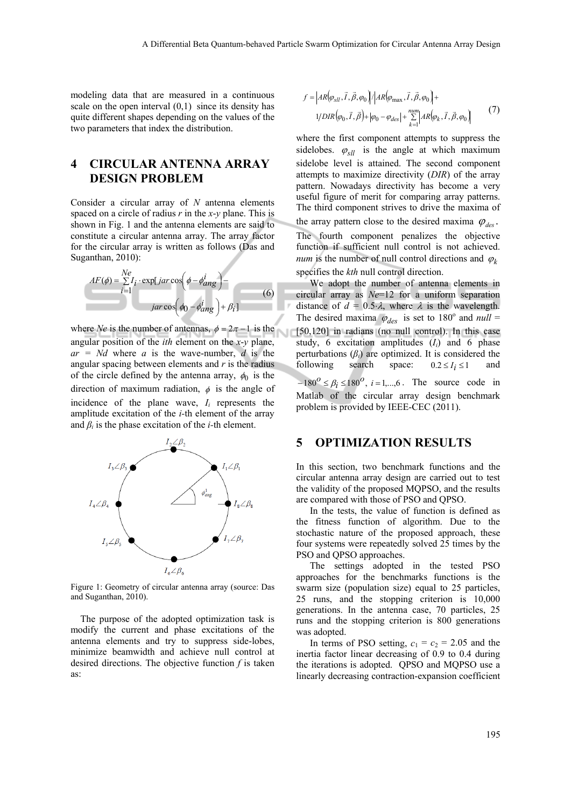modeling data that are measured in a continuous scale on the open interval  $(0,1)$  since its density has quite different shapes depending on the values of the two parameters that index the distribution.

## **4 CIRCULAR ANTENNA ARRAY DESIGN PROBLEM**

Consider a circular array of *N* antenna elements spaced on a circle of radius *r* in the *x*-*y* plane. This is shown in Fig. 1 and the antenna elements are said to constitute a circular antenna array. The array factor for the circular array is written as follows (Das and Suganthan, 2010):

$$
AF(\phi) = \sum_{i=1}^{Ne} I_i \cdot \exp[jar \cos(\phi - \phi_{ang}^i)] -
$$
  
 
$$
jar \cos(\phi_0 - \phi_{ang}^i) + \beta_i]
$$
 (6)

where *Ne* is the number of antennas,  $\phi = 2\pi - 1$  is the angular position of the *ith* element on the *x*-*y* plane,  $ar = Nd$  where *a* is the wave-number, *d* is the angular spacing between elements and *r* is the radius of the circle defined by the antenna array,  $\phi_0$  is the direction of maximum radiation,  $\phi$  is the angle of incidence of the plane wave,  $I_i$  represents the amplitude excitation of the *i-*th element of the array and  $\beta_i$  is the phase excitation of the *i*-th element.



Figure 1: Geometry of circular antenna array (source: Das and Suganthan, 2010).

The purpose of the adopted optimization task is modify the current and phase excitations of the antenna elements and try to suppress side-lobes, minimize beamwidth and achieve null control at desired directions. The objective function *f* is taken as:

$$
f = |AR(\varphi_{sll}, \vec{I}, \vec{\beta}, \varphi_0)| / |AR(\varphi_{\text{max}}, \vec{I}, \vec{\beta}, \varphi_0)| +
$$
  
1/DIR(\varphi\_0, \vec{I}, \vec{\beta}) + |\varphi\_0 - \varphi\_{des}| + \sum\_{k=1}^{num} |AR(\varphi\_k, \vec{I}, \vec{\beta}, \varphi\_0)| (7)

where the first component attempts to suppress the sidelobes.  $\varphi_{sll}$  is the angle at which maximum sidelobe level is attained. The second component attempts to maximize directivity (*DIR*) of the array pattern. Nowadays directivity has become a very useful figure of merit for comparing array patterns. The third component strives to drive the maxima of the array pattern close to the desired maxima  $\varphi_{\text{des}}$ .

The fourth component penalizes the objective function if sufficient null control is not achieved. *num* is the number of null control directions and  $\varphi_k$ specifies the *kth* null control direction.

We adopt the number of antenna elements in circular array as *Ne*=12 for a uniform separation distance of  $d = 0.5 \lambda$ , where  $\lambda$  is the wavelength. The desired maxima  $\varphi_{des}$  is set to 180<sup>°</sup> and *null* = [50,120] in radians (no null control). In this case study,  $6$  excitation amplitudes  $(I_i)$  and  $6$  phase perturbations  $(\beta_i)$  are optimized. It is considered the following search space:  $0.2 \le I_i \le 1$  and  $-180^{\circ} \le \beta_i \le 180^{\circ}, i = 1,...,6$ . The source code in Matlab of the circular array design benchmark problem is provided by IEEE-CEC (2011).

#### **5 OPTIMIZATION RESULTS**

In this section, two benchmark functions and the circular antenna array design are carried out to test the validity of the proposed MQPSO, and the results are compared with those of PSO and QPSO.

In the tests, the value of function is defined as the fitness function of algorithm. Due to the stochastic nature of the proposed approach, these four systems were repeatedly solved 25 times by the PSO and QPSO approaches.

The settings adopted in the tested PSO approaches for the benchmarks functions is the swarm size (population size) equal to 25 particles, 25 runs, and the stopping criterion is 10,000 generations. In the antenna case, 70 particles, 25 runs and the stopping criterion is 800 generations was adopted.

In terms of PSO setting,  $c_1 = c_2 = 2.05$  and the inertia factor linear decreasing of 0.9 to 0.4 during the iterations is adopted. QPSO and MQPSO use a linearly decreasing contraction-expansion coefficient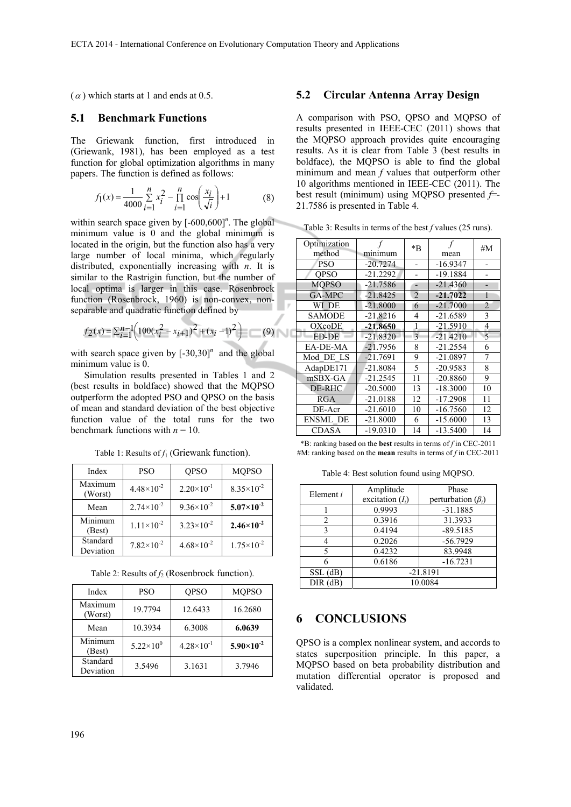$(\alpha)$  which starts at 1 and ends at 0.5.

#### **5.1 Benchmark Functions**

The Griewank function, first introduced in (Griewank, 1981), has been employed as a test function for global optimization algorithms in many papers. The function is defined as follows:

$$
f_1(x) = \frac{1}{4000} \sum_{i=1}^{n} x_i^2 - \prod_{i=1}^{n} \cos\left(\frac{x_i}{\sqrt{i}}\right) + 1
$$
 (8)

within search space given by  $[-600, 600]^n$ . The global minimum value is 0 and the global minimum is located in the origin, but the function also has a very large number of local minima, which regularly distributed, exponentially increasing with *n*. It is similar to the Rastrigin function, but the number of local optima is larger in this case. Rosenbrock function (Rosenbrock, 1960) is non-convex, nonseparable and quadratic function defined by

$$
f_2(x) = \sum_{i=1}^{n-1} \left( 100(x_i^2 - x_{i+1})^2 + (x_i - 1)^2 \right) \tag{9}
$$

with search space given by  $[-30,30]^n$  and the global minimum value is 0.

Simulation results presented in Tables 1 and 2 (best results in boldface) showed that the MQPSO outperform the adopted PSO and QPSO on the basis of mean and standard deviation of the best objective function value of the total runs for the two benchmark functions with  $n = 10$ .

| Index                 | <b>PSO</b>            | <b>OPSO</b>           | <b>MQPSO</b>          |
|-----------------------|-----------------------|-----------------------|-----------------------|
| Maximum<br>(Worst)    | $4.48 \times 10^{-2}$ | $2.20 \times 10^{-1}$ | $8.35\times10^{-2}$   |
| Mean                  | $2.74 \times 10^{-2}$ | $9.36 \times 10^{-2}$ | $5.07\times10^{-2}$   |
| Minimum<br>(Best)     | $1.11 \times 10^{-2}$ | $3.23 \times 10^{-2}$ | $2.46 \times 10^{-2}$ |
| Standard<br>Deviation | $7.82\times10^{-2}$   | $4.68 \times 10^{-2}$ | $1.75 \times 10^{-2}$ |
|                       |                       |                       |                       |

Table 1: Results of  $f_1$  (Griewank function).

Table 2: Results of  $f_2$  (Rosenbrock function).

| Index                 | PSO                | <b>OPSO</b>           | <b>MOPSO</b>        |
|-----------------------|--------------------|-----------------------|---------------------|
| Maximum<br>(Worst)    | 19.7794            | 12.6433               | 16.2680             |
| Mean                  | 10.3934            | 6.3008                | 6.0639              |
| Minimum<br>(Best)     | $5.22\times10^{0}$ | $4.28 \times 10^{-1}$ | $5.90\times10^{-2}$ |
| Standard<br>Deviation | 3.5496             | 3.1631                | 3.7946              |

#### **5.2 Circular Antenna Array Design**

A comparison with PSO, QPSO and MQPSO of results presented in IEEE-CEC (2011) shows that the MQPSO approach provides quite encouraging results. As it is clear from Table 3 (best results in boldface), the MQPSO is able to find the global minimum and mean *f* values that outperform other 10 algorithms mentioned in IEEE-CEC (2011). The best result (minimum) using MQPSO presented *f*=- 21.7586 is presented in Table 4.

Table 3: Results in terms of the best *f* values (25 runs).

| Optimization<br>method | minimum    | *B             | mean       | #M                       |
|------------------------|------------|----------------|------------|--------------------------|
| <b>PSO</b>             | $-20.7274$ |                | $-16.9347$ |                          |
| <b>OPSO</b>            | $-21.2292$ |                | $-19.1884$ |                          |
| <b>MOPSO</b>           | $-21.7586$ | -              | $-21.4360$ |                          |
| GA-MPC                 | $-21.8425$ | $\overline{2}$ | $-21.7022$ | 1                        |
| WI DE                  | $-21.8000$ | 6              | $-21.7000$ | $\overline{2}$           |
| <b>SAMODE</b>          | $-21.8216$ | 4              | $-21.6589$ | 3                        |
| <b>OXcoDE</b>          | $-21.8650$ | 1              | $-21.5910$ | 4                        |
| ED-DE                  | $-21.8320$ | 3              | $-21.4210$ | $\overline{\phantom{0}}$ |
| EA-DE-MA               | $-21.7956$ | 8              | $-21.2554$ | 6                        |
| Mod DE LS              | $-21.7691$ | 9              | $-21.0897$ | 7                        |
| AdapDE171              | $-21.8084$ | 5              | $-20.9583$ | 8                        |
| mSBX-GA                | $-21.2545$ | 11             | $-20.8860$ | 9                        |
| DE-RHC                 | $-20.5000$ | 13             | $-18.3000$ | 10                       |
| RGA                    | $-21.0188$ | 12             | $-17.2908$ | 11                       |
| DE-Acr                 | $-21.6010$ | 10             | $-16.7560$ | 12                       |
| ENSML DE               | $-21.8000$ | 6              | $-15.6000$ | 13                       |
| CDASA                  | $-19.0310$ | 14             | $-13.5400$ | 14                       |
|                        |            |                |            |                          |

\*B: ranking based on the **best** results in terms of *f* in CEC-2011 #M: ranking based on the **mean** results in terms of *f* in CEC-2011

Table 4: Best solution found using MQPSO.

| Element i  | Amplitude<br>excitation $(I_i)$ | Phase<br>perturbation $(\beta_i)$ |
|------------|---------------------------------|-----------------------------------|
|            | 0.9993                          | $-31.1885$                        |
| 2          | 0.3916                          | 31.3933                           |
| 3          | 0.4194                          | $-89.5185$                        |
|            | 0.2026                          | $-56.7929$                        |
| 5          | 0.4232                          | 83.9948                           |
|            | 0.6186                          | $-16.7231$                        |
| $SSL$ (dB) | $-21.8191$                      |                                   |
| DIR(dB)    | 10.0084                         |                                   |

#### **6 CONCLUSIONS**

QPSO is a complex nonlinear system, and accords to states superposition principle. In this paper, a MQPSO based on beta probability distribution and mutation differential operator is proposed and validated.